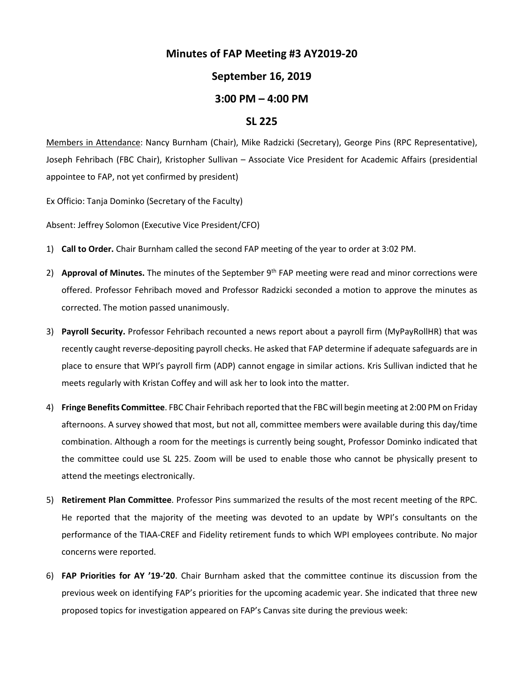## **Minutes of FAP Meeting #3 AY2019-20**

## **September 16, 2019**

## **3:00 PM – 4:00 PM**

## **SL 225**

Members in Attendance: Nancy Burnham (Chair), Mike Radzicki (Secretary), George Pins (RPC Representative), Joseph Fehribach (FBC Chair), Kristopher Sullivan – Associate Vice President for Academic Affairs (presidential appointee to FAP, not yet confirmed by president)

Ex Officio: Tanja Dominko (Secretary of the Faculty)

Absent: Jeffrey Solomon (Executive Vice President/CFO)

- 1) **Call to Order.** Chair Burnham called the second FAP meeting of the year to order at 3:02 PM.
- 2) **Approval of Minutes.** The minutes of the September 9th FAP meeting were read and minor corrections were offered. Professor Fehribach moved and Professor Radzicki seconded a motion to approve the minutes as corrected. The motion passed unanimously.
- 3) **Payroll Security.** Professor Fehribach recounted a news report about a payroll firm (MyPayRollHR) that was recently caught reverse-depositing payroll checks. He asked that FAP determine if adequate safeguards are in place to ensure that WPI's payroll firm (ADP) cannot engage in similar actions. Kris Sullivan indicted that he meets regularly with Kristan Coffey and will ask her to look into the matter.
- 4) **Fringe Benefits Committee**. FBC Chair Fehribach reported that the FBC will begin meeting at 2:00 PM on Friday afternoons. A survey showed that most, but not all, committee members were available during this day/time combination. Although a room for the meetings is currently being sought, Professor Dominko indicated that the committee could use SL 225. Zoom will be used to enable those who cannot be physically present to attend the meetings electronically.
- 5) **Retirement Plan Committee**. Professor Pins summarized the results of the most recent meeting of the RPC. He reported that the majority of the meeting was devoted to an update by WPI's consultants on the performance of the TIAA-CREF and Fidelity retirement funds to which WPI employees contribute. No major concerns were reported.
- 6) **FAP Priorities for AY '19-'20**. Chair Burnham asked that the committee continue its discussion from the previous week on identifying FAP's priorities for the upcoming academic year. She indicated that three new proposed topics for investigation appeared on FAP's Canvas site during the previous week: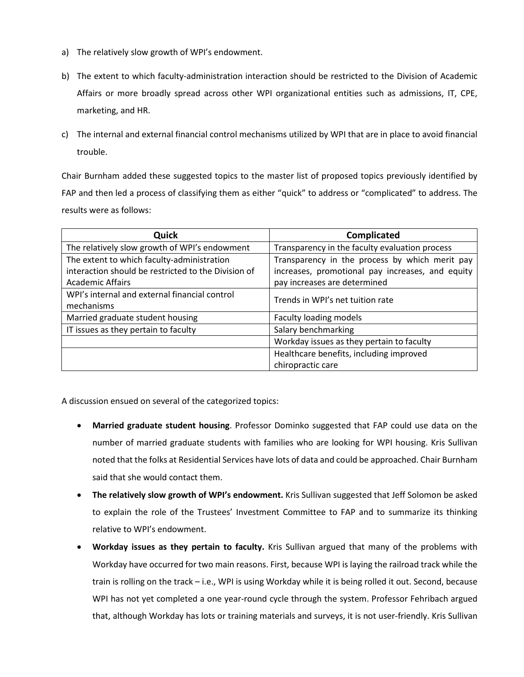- a) The relatively slow growth of WPI's endowment.
- b) The extent to which faculty-administration interaction should be restricted to the Division of Academic Affairs or more broadly spread across other WPI organizational entities such as admissions, IT, CPE, marketing, and HR.
- c) The internal and external financial control mechanisms utilized by WPI that are in place to avoid financial trouble.

Chair Burnham added these suggested topics to the master list of proposed topics previously identified by FAP and then led a process of classifying them as either "quick" to address or "complicated" to address. The results were as follows:

| Quick                                                                                                                        | <b>Complicated</b>                                                                                                                 |
|------------------------------------------------------------------------------------------------------------------------------|------------------------------------------------------------------------------------------------------------------------------------|
| The relatively slow growth of WPI's endowment                                                                                | Transparency in the faculty evaluation process                                                                                     |
| The extent to which faculty-administration<br>interaction should be restricted to the Division of<br><b>Academic Affairs</b> | Transparency in the process by which merit pay<br>increases, promotional pay increases, and equity<br>pay increases are determined |
| WPI's internal and external financial control<br>mechanisms                                                                  | Trends in WPI's net tuition rate                                                                                                   |
| Married graduate student housing                                                                                             | <b>Faculty loading models</b>                                                                                                      |
| IT issues as they pertain to faculty                                                                                         | Salary benchmarking                                                                                                                |
|                                                                                                                              | Workday issues as they pertain to faculty                                                                                          |
|                                                                                                                              | Healthcare benefits, including improved<br>chiropractic care                                                                       |

A discussion ensued on several of the categorized topics:

- **Married graduate student housing**. Professor Dominko suggested that FAP could use data on the number of married graduate students with families who are looking for WPI housing. Kris Sullivan noted that the folks at Residential Services have lots of data and could be approached. Chair Burnham said that she would contact them.
- **The relatively slow growth of WPI's endowment.** Kris Sullivan suggested that Jeff Solomon be asked to explain the role of the Trustees' Investment Committee to FAP and to summarize its thinking relative to WPI's endowment.
- **Workday issues as they pertain to faculty.** Kris Sullivan argued that many of the problems with Workday have occurred for two main reasons. First, because WPI is laying the railroad track while the train is rolling on the track – i.e., WPI is using Workday while it is being rolled it out. Second, because WPI has not yet completed a one year-round cycle through the system. Professor Fehribach argued that, although Workday has lots or training materials and surveys, it is not user-friendly. Kris Sullivan